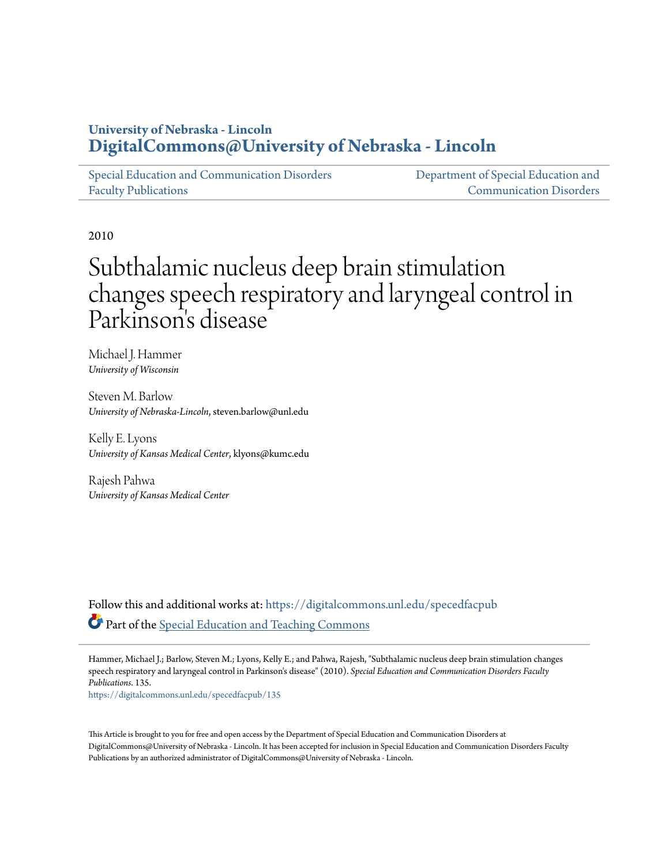### **University of Nebraska - Lincoln [DigitalCommons@University of Nebraska - Lincoln](https://digitalcommons.unl.edu?utm_source=digitalcommons.unl.edu%2Fspecedfacpub%2F135&utm_medium=PDF&utm_campaign=PDFCoverPages)**

[Special Education and Communication Disorders](https://digitalcommons.unl.edu/specedfacpub?utm_source=digitalcommons.unl.edu%2Fspecedfacpub%2F135&utm_medium=PDF&utm_campaign=PDFCoverPages) [Faculty Publications](https://digitalcommons.unl.edu/specedfacpub?utm_source=digitalcommons.unl.edu%2Fspecedfacpub%2F135&utm_medium=PDF&utm_campaign=PDFCoverPages)

[Department of Special Education and](https://digitalcommons.unl.edu/spec_ed?utm_source=digitalcommons.unl.edu%2Fspecedfacpub%2F135&utm_medium=PDF&utm_campaign=PDFCoverPages) [Communication Disorders](https://digitalcommons.unl.edu/spec_ed?utm_source=digitalcommons.unl.edu%2Fspecedfacpub%2F135&utm_medium=PDF&utm_campaign=PDFCoverPages)

2010

### Subthalamic nucleus deep brain stimulation changes speech respiratory and laryngeal control in Parkinson's disease

Michael J. Hammer *University of Wisconsin*

Steven M. Barlow *University of Nebraska-Lincoln*, steven.barlow@unl.edu

Kelly E. Lyons *University of Kansas Medical Center*, klyons@kumc.edu

Rajesh Pahwa *University of Kansas Medical Center*

Follow this and additional works at: [https://digitalcommons.unl.edu/specedfacpub](https://digitalcommons.unl.edu/specedfacpub?utm_source=digitalcommons.unl.edu%2Fspecedfacpub%2F135&utm_medium=PDF&utm_campaign=PDFCoverPages) Part of the [Special Education and Teaching Commons](http://network.bepress.com/hgg/discipline/801?utm_source=digitalcommons.unl.edu%2Fspecedfacpub%2F135&utm_medium=PDF&utm_campaign=PDFCoverPages)

Hammer, Michael J.; Barlow, Steven M.; Lyons, Kelly E.; and Pahwa, Rajesh, "Subthalamic nucleus deep brain stimulation changes speech respiratory and laryngeal control in Parkinson's disease" (2010). *Special Education and Communication Disorders Faculty Publications*. 135.

[https://digitalcommons.unl.edu/specedfacpub/135](https://digitalcommons.unl.edu/specedfacpub/135?utm_source=digitalcommons.unl.edu%2Fspecedfacpub%2F135&utm_medium=PDF&utm_campaign=PDFCoverPages)

This Article is brought to you for free and open access by the Department of Special Education and Communication Disorders at DigitalCommons@University of Nebraska - Lincoln. It has been accepted for inclusion in Special Education and Communication Disorders Faculty Publications by an authorized administrator of DigitalCommons@University of Nebraska - Lincoln.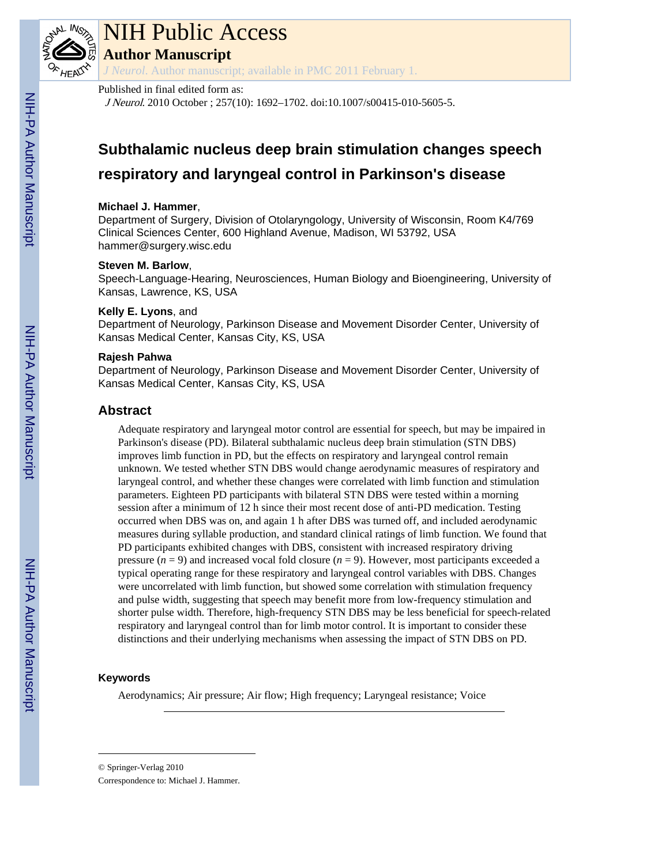

### NIH Public Access

**Author Manuscript**

*J Neurol*. Author manuscript; available in PMC 2011 February 1.

#### Published in final edited form as:

J Neurol. 2010 October ; 257(10): 1692–1702. doi:10.1007/s00415-010-5605-5.

### **Subthalamic nucleus deep brain stimulation changes speech respiratory and laryngeal control in Parkinson's disease**

#### **Michael J. Hammer**,

Department of Surgery, Division of Otolaryngology, University of Wisconsin, Room K4/769 Clinical Sciences Center, 600 Highland Avenue, Madison, WI 53792, USA hammer@surgery.wisc.edu

#### **Steven M. Barlow**,

Speech-Language-Hearing, Neurosciences, Human Biology and Bioengineering, University of Kansas, Lawrence, KS, USA

#### **Kelly E. Lyons**, and

Department of Neurology, Parkinson Disease and Movement Disorder Center, University of Kansas Medical Center, Kansas City, KS, USA

#### **Rajesh Pahwa**

Department of Neurology, Parkinson Disease and Movement Disorder Center, University of Kansas Medical Center, Kansas City, KS, USA

#### **Abstract**

Adequate respiratory and laryngeal motor control are essential for speech, but may be impaired in Parkinson's disease (PD). Bilateral subthalamic nucleus deep brain stimulation (STN DBS) improves limb function in PD, but the effects on respiratory and laryngeal control remain unknown. We tested whether STN DBS would change aerodynamic measures of respiratory and laryngeal control, and whether these changes were correlated with limb function and stimulation parameters. Eighteen PD participants with bilateral STN DBS were tested within a morning session after a minimum of 12 h since their most recent dose of anti-PD medication. Testing occurred when DBS was on, and again 1 h after DBS was turned off, and included aerodynamic measures during syllable production, and standard clinical ratings of limb function. We found that PD participants exhibited changes with DBS, consistent with increased respiratory driving pressure  $(n = 9)$  and increased vocal fold closure  $(n = 9)$ . However, most participants exceeded a typical operating range for these respiratory and laryngeal control variables with DBS. Changes were uncorrelated with limb function, but showed some correlation with stimulation frequency and pulse width, suggesting that speech may benefit more from low-frequency stimulation and shorter pulse width. Therefore, high-frequency STN DBS may be less beneficial for speech-related respiratory and laryngeal control than for limb motor control. It is important to consider these distinctions and their underlying mechanisms when assessing the impact of STN DBS on PD.

#### **Keywords**

Aerodynamics; Air pressure; Air flow; High frequency; Laryngeal resistance; Voice

© Springer-Verlag 2010 Correspondence to: Michael J. Hammer.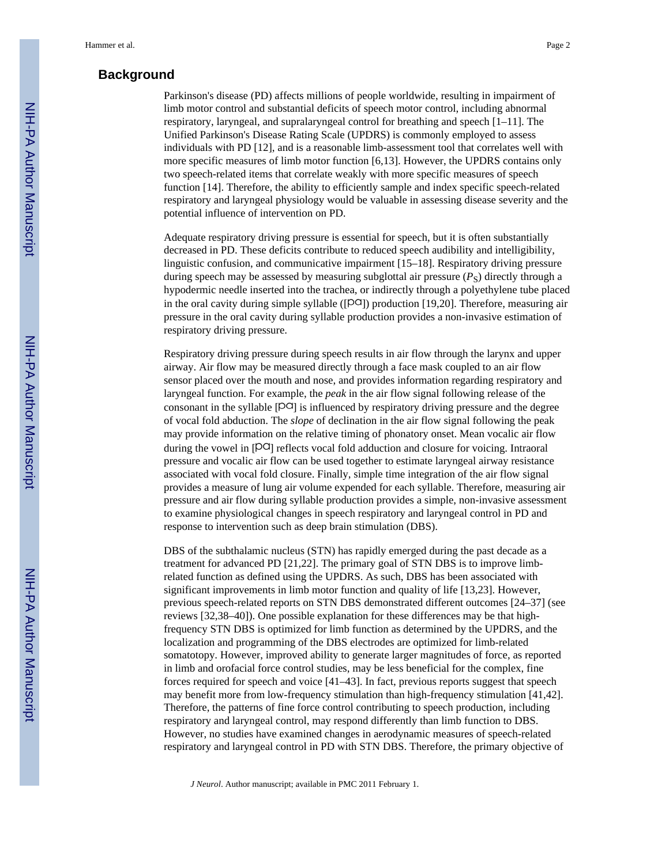#### **Background**

Parkinson's disease (PD) affects millions of people worldwide, resulting in impairment of limb motor control and substantial deficits of speech motor control, including abnormal respiratory, laryngeal, and supralaryngeal control for breathing and speech [1–11]. The Unified Parkinson's Disease Rating Scale (UPDRS) is commonly employed to assess individuals with PD [12], and is a reasonable limb-assessment tool that correlates well with more specific measures of limb motor function [6,13]. However, the UPDRS contains only two speech-related items that correlate weakly with more specific measures of speech function [14]. Therefore, the ability to efficiently sample and index specific speech-related respiratory and laryngeal physiology would be valuable in assessing disease severity and the potential influence of intervention on PD.

Adequate respiratory driving pressure is essential for speech, but it is often substantially decreased in PD. These deficits contribute to reduced speech audibility and intelligibility, linguistic confusion, and communicative impairment [15–18]. Respiratory driving pressure during speech may be assessed by measuring subglottal air pressure  $(P<sub>S</sub>)$  directly through a hypodermic needle inserted into the trachea, or indirectly through a polyethylene tube placed in the oral cavity during simple syllable  $([P<sup>O</sup>])$  production [19,20]. Therefore, measuring air pressure in the oral cavity during syllable production provides a non-invasive estimation of respiratory driving pressure.

Respiratory driving pressure during speech results in air flow through the larynx and upper airway. Air flow may be measured directly through a face mask coupled to an air flow sensor placed over the mouth and nose, and provides information regarding respiratory and laryngeal function. For example, the *peak* in the air flow signal following release of the consonant in the syllable [ $PQ$ ] is influenced by respiratory driving pressure and the degree of vocal fold abduction. The *slope* of declination in the air flow signal following the peak may provide information on the relative timing of phonatory onset. Mean vocalic air flow during the vowel in  $[<sup>DQ</sup>]$  reflects vocal fold adduction and closure for voicing. Intraoral pressure and vocalic air flow can be used together to estimate laryngeal airway resistance associated with vocal fold closure. Finally, simple time integration of the air flow signal provides a measure of lung air volume expended for each syllable. Therefore, measuring air pressure and air flow during syllable production provides a simple, non-invasive assessment to examine physiological changes in speech respiratory and laryngeal control in PD and response to intervention such as deep brain stimulation (DBS).

DBS of the subthalamic nucleus (STN) has rapidly emerged during the past decade as a treatment for advanced PD [21,22]. The primary goal of STN DBS is to improve limbrelated function as defined using the UPDRS. As such, DBS has been associated with significant improvements in limb motor function and quality of life [13,23]. However, previous speech-related reports on STN DBS demonstrated different outcomes [24–37] (see reviews [32,38–40]). One possible explanation for these differences may be that highfrequency STN DBS is optimized for limb function as determined by the UPDRS, and the localization and programming of the DBS electrodes are optimized for limb-related somatotopy. However, improved ability to generate larger magnitudes of force, as reported in limb and orofacial force control studies, may be less beneficial for the complex, fine forces required for speech and voice [41–43]. In fact, previous reports suggest that speech may benefit more from low-frequency stimulation than high-frequency stimulation [41,42]. Therefore, the patterns of fine force control contributing to speech production, including respiratory and laryngeal control, may respond differently than limb function to DBS. However, no studies have examined changes in aerodynamic measures of speech-related respiratory and laryngeal control in PD with STN DBS. Therefore, the primary objective of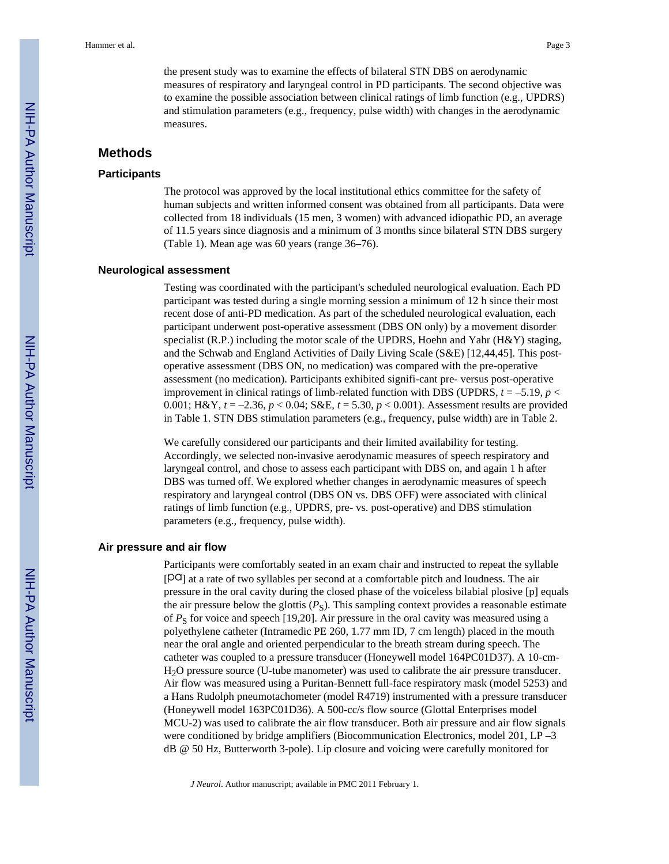the present study was to examine the effects of bilateral STN DBS on aerodynamic measures of respiratory and laryngeal control in PD participants. The second objective was to examine the possible association between clinical ratings of limb function (e.g., UPDRS) and stimulation parameters (e.g., frequency, pulse width) with changes in the aerodynamic measures.

#### **Methods**

#### **Participants**

The protocol was approved by the local institutional ethics committee for the safety of human subjects and written informed consent was obtained from all participants. Data were collected from 18 individuals (15 men, 3 women) with advanced idiopathic PD, an average of 11.5 years since diagnosis and a minimum of 3 months since bilateral STN DBS surgery (Table 1). Mean age was 60 years (range 36–76).

#### **Neurological assessment**

Testing was coordinated with the participant's scheduled neurological evaluation. Each PD participant was tested during a single morning session a minimum of 12 h since their most recent dose of anti-PD medication. As part of the scheduled neurological evaluation, each participant underwent post-operative assessment (DBS ON only) by a movement disorder specialist (R.P.) including the motor scale of the UPDRS, Hoehn and Yahr (H&Y) staging, and the Schwab and England Activities of Daily Living Scale (S&E) [12,44,45]. This postoperative assessment (DBS ON, no medication) was compared with the pre-operative assessment (no medication). Participants exhibited signifi-cant pre- versus post-operative improvement in clinical ratings of limb-related function with DBS (UPDRS,  $t = -5.19$ ,  $p <$ 0.001; H&Y, *t* = –2.36, *p* < 0.04; S&E, *t* = 5.30, *p* < 0.001). Assessment results are provided in Table 1. STN DBS stimulation parameters (e.g., frequency, pulse width) are in Table 2.

We carefully considered our participants and their limited availability for testing. Accordingly, we selected non-invasive aerodynamic measures of speech respiratory and laryngeal control, and chose to assess each participant with DBS on, and again 1 h after DBS was turned off. We explored whether changes in aerodynamic measures of speech respiratory and laryngeal control (DBS ON vs. DBS OFF) were associated with clinical ratings of limb function (e.g., UPDRS, pre- vs. post-operative) and DBS stimulation parameters (e.g., frequency, pulse width).

#### **Air pressure and air flow**

Participants were comfortably seated in an exam chair and instructed to repeat the syllable  $[D<sup>O</sup>]$  at a rate of two syllables per second at a comfortable pitch and loudness. The air pressure in the oral cavity during the closed phase of the voiceless bilabial plosive [p] equals the air pressure below the glottis  $(P<sub>S</sub>)$ . This sampling context provides a reasonable estimate of  $P<sub>S</sub>$  for voice and speech [19,20]. Air pressure in the oral cavity was measured using a polyethylene catheter (Intramedic PE 260, 1.77 mm ID, 7 cm length) placed in the mouth near the oral angle and oriented perpendicular to the breath stream during speech. The catheter was coupled to a pressure transducer (Honeywell model 164PC01D37). A 10-cm-H2O pressure source (U-tube manometer) was used to calibrate the air pressure transducer. Air flow was measured using a Puritan-Bennett full-face respiratory mask (model 5253) and a Hans Rudolph pneumotachometer (model R4719) instrumented with a pressure transducer (Honeywell model 163PC01D36). A 500-cc/s flow source (Glottal Enterprises model MCU-2) was used to calibrate the air flow transducer. Both air pressure and air flow signals were conditioned by bridge amplifiers (Biocommunication Electronics, model 201, LP –3 dB @ 50 Hz, Butterworth 3-pole). Lip closure and voicing were carefully monitored for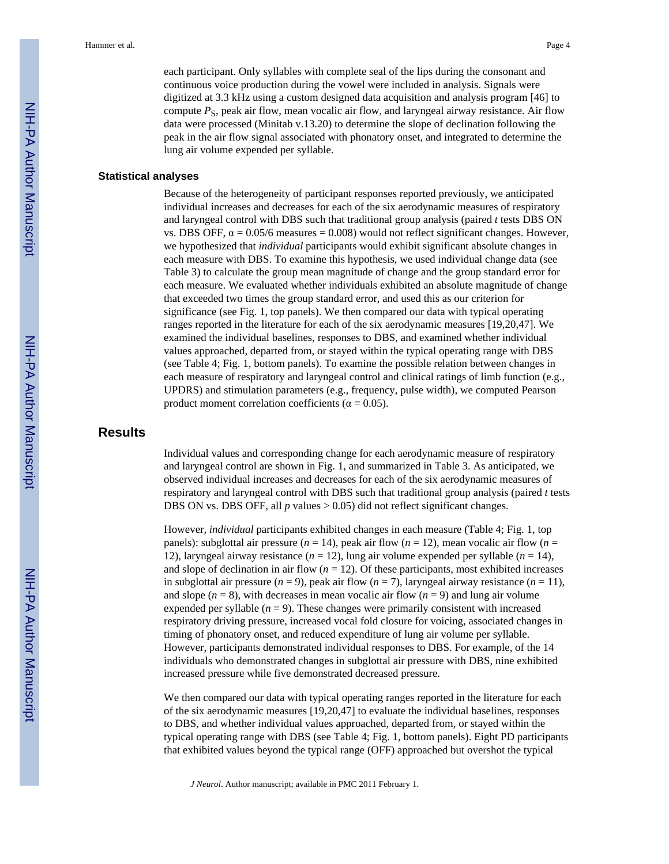each participant. Only syllables with complete seal of the lips during the consonant and continuous voice production during the vowel were included in analysis. Signals were digitized at 3.3 kHz using a custom designed data acquisition and analysis program [46] to compute  $P_S$ , peak air flow, mean vocalic air flow, and laryngeal airway resistance. Air flow data were processed (Minitab v.13.20) to determine the slope of declination following the peak in the air flow signal associated with phonatory onset, and integrated to determine the lung air volume expended per syllable.

#### **Statistical analyses**

Because of the heterogeneity of participant responses reported previously, we anticipated individual increases and decreases for each of the six aerodynamic measures of respiratory and laryngeal control with DBS such that traditional group analysis (paired *t* tests DBS ON vs. DBS OFF, α = 0.05/6 measures = 0.008) would not reflect significant changes. However, we hypothesized that *individual* participants would exhibit significant absolute changes in each measure with DBS. To examine this hypothesis, we used individual change data (see Table 3) to calculate the group mean magnitude of change and the group standard error for each measure. We evaluated whether individuals exhibited an absolute magnitude of change that exceeded two times the group standard error, and used this as our criterion for significance (see Fig. 1, top panels). We then compared our data with typical operating ranges reported in the literature for each of the six aerodynamic measures [19,20,47]. We examined the individual baselines, responses to DBS, and examined whether individual values approached, departed from, or stayed within the typical operating range with DBS (see Table 4; Fig. 1, bottom panels). To examine the possible relation between changes in each measure of respiratory and laryngeal control and clinical ratings of limb function (e.g., UPDRS) and stimulation parameters (e.g., frequency, pulse width), we computed Pearson product moment correlation coefficients ( $\alpha = 0.05$ ).

#### **Results**

Individual values and corresponding change for each aerodynamic measure of respiratory and laryngeal control are shown in Fig. 1, and summarized in Table 3. As anticipated, we observed individual increases and decreases for each of the six aerodynamic measures of respiratory and laryngeal control with DBS such that traditional group analysis (paired *t* tests DBS ON vs. DBS OFF, all *p* values  $> 0.05$ ) did not reflect significant changes.

However, *individual* participants exhibited changes in each measure (Table 4; Fig. 1, top panels): subglottal air pressure  $(n = 14)$ , peak air flow  $(n = 12)$ , mean vocalic air flow  $(n = 12)$ 12), laryngeal airway resistance (*n* = 12), lung air volume expended per syllable (*n* = 14), and slope of declination in air flow  $(n = 12)$ . Of these participants, most exhibited increases in subglottal air pressure  $(n = 9)$ , peak air flow  $(n = 7)$ , laryngeal airway resistance  $(n = 11)$ , and slope  $(n = 8)$ , with decreases in mean vocalic air flow  $(n = 9)$  and lung air volume expended per syllable  $(n = 9)$ . These changes were primarily consistent with increased respiratory driving pressure, increased vocal fold closure for voicing, associated changes in timing of phonatory onset, and reduced expenditure of lung air volume per syllable. However, participants demonstrated individual responses to DBS. For example, of the 14 individuals who demonstrated changes in subglottal air pressure with DBS, nine exhibited increased pressure while five demonstrated decreased pressure.

We then compared our data with typical operating ranges reported in the literature for each of the six aerodynamic measures [19,20,47] to evaluate the individual baselines, responses to DBS, and whether individual values approached, departed from, or stayed within the typical operating range with DBS (see Table 4; Fig. 1, bottom panels). Eight PD participants that exhibited values beyond the typical range (OFF) approached but overshot the typical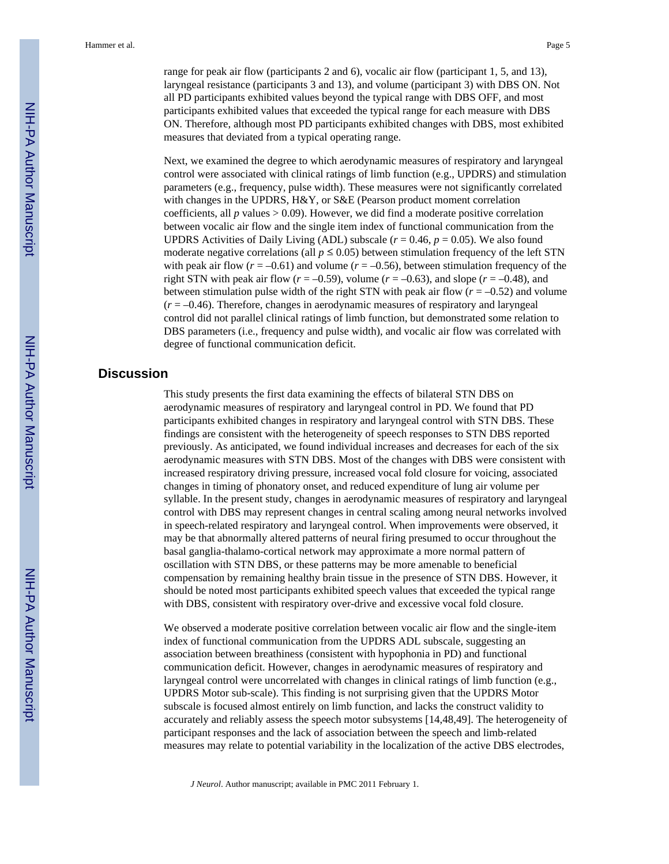range for peak air flow (participants 2 and 6), vocalic air flow (participant 1, 5, and 13), laryngeal resistance (participants 3 and 13), and volume (participant 3) with DBS ON. Not all PD participants exhibited values beyond the typical range with DBS OFF, and most participants exhibited values that exceeded the typical range for each measure with DBS ON. Therefore, although most PD participants exhibited changes with DBS, most exhibited measures that deviated from a typical operating range.

Next, we examined the degree to which aerodynamic measures of respiratory and laryngeal control were associated with clinical ratings of limb function (e.g., UPDRS) and stimulation parameters (e.g., frequency, pulse width). These measures were not significantly correlated with changes in the UPDRS, H&Y, or S&E (Pearson product moment correlation coefficients, all  $p$  values  $> 0.09$ ). However, we did find a moderate positive correlation between vocalic air flow and the single item index of functional communication from the UPDRS Activities of Daily Living (ADL) subscale ( $r = 0.46$ ,  $p = 0.05$ ). We also found moderate negative correlations (all  $p \le 0.05$ ) between stimulation frequency of the left STN with peak air flow  $(r = -0.61)$  and volume  $(r = -0.56)$ , between stimulation frequency of the right STN with peak air flow  $(r = -0.59)$ , volume  $(r = -0.63)$ , and slope  $(r = -0.48)$ , and between stimulation pulse width of the right STN with peak air flow  $(r = -0.52)$  and volume (*r* = –0.46). Therefore, changes in aerodynamic measures of respiratory and laryngeal control did not parallel clinical ratings of limb function, but demonstrated some relation to DBS parameters (i.e., frequency and pulse width), and vocalic air flow was correlated with degree of functional communication deficit.

#### **Discussion**

This study presents the first data examining the effects of bilateral STN DBS on aerodynamic measures of respiratory and laryngeal control in PD. We found that PD participants exhibited changes in respiratory and laryngeal control with STN DBS. These findings are consistent with the heterogeneity of speech responses to STN DBS reported previously. As anticipated, we found individual increases and decreases for each of the six aerodynamic measures with STN DBS. Most of the changes with DBS were consistent with increased respiratory driving pressure, increased vocal fold closure for voicing, associated changes in timing of phonatory onset, and reduced expenditure of lung air volume per syllable. In the present study, changes in aerodynamic measures of respiratory and laryngeal control with DBS may represent changes in central scaling among neural networks involved in speech-related respiratory and laryngeal control. When improvements were observed, it may be that abnormally altered patterns of neural firing presumed to occur throughout the basal ganglia-thalamo-cortical network may approximate a more normal pattern of oscillation with STN DBS, or these patterns may be more amenable to beneficial compensation by remaining healthy brain tissue in the presence of STN DBS. However, it should be noted most participants exhibited speech values that exceeded the typical range with DBS, consistent with respiratory over-drive and excessive vocal fold closure.

We observed a moderate positive correlation between vocalic air flow and the single-item index of functional communication from the UPDRS ADL subscale, suggesting an association between breathiness (consistent with hypophonia in PD) and functional communication deficit. However, changes in aerodynamic measures of respiratory and laryngeal control were uncorrelated with changes in clinical ratings of limb function (e.g., UPDRS Motor sub-scale). This finding is not surprising given that the UPDRS Motor subscale is focused almost entirely on limb function, and lacks the construct validity to accurately and reliably assess the speech motor subsystems [14,48,49]. The heterogeneity of participant responses and the lack of association between the speech and limb-related measures may relate to potential variability in the localization of the active DBS electrodes,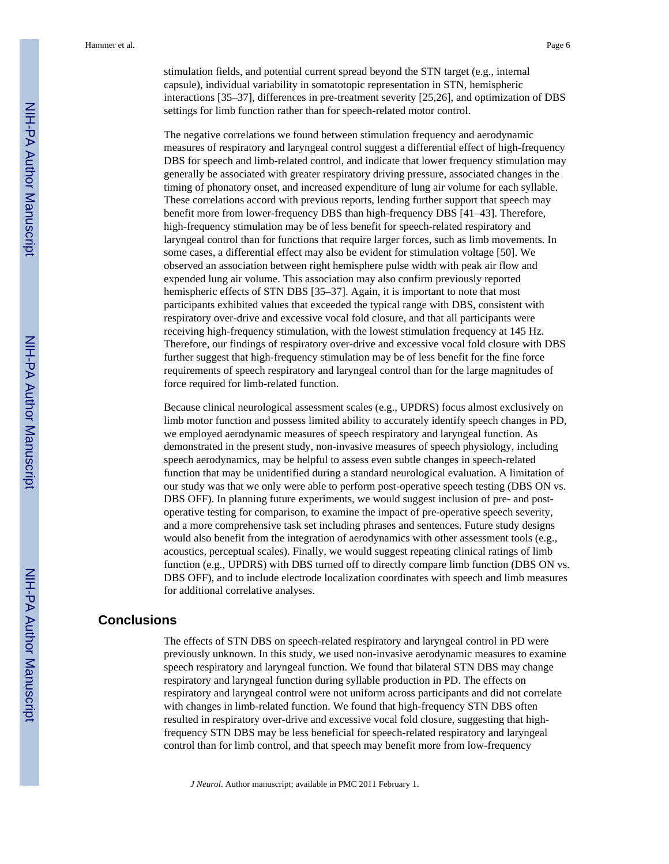stimulation fields, and potential current spread beyond the STN target (e.g., internal capsule), individual variability in somatotopic representation in STN, hemispheric interactions [35–37], differences in pre-treatment severity [25,26], and optimization of DBS settings for limb function rather than for speech-related motor control.

The negative correlations we found between stimulation frequency and aerodynamic measures of respiratory and laryngeal control suggest a differential effect of high-frequency DBS for speech and limb-related control, and indicate that lower frequency stimulation may generally be associated with greater respiratory driving pressure, associated changes in the timing of phonatory onset, and increased expenditure of lung air volume for each syllable. These correlations accord with previous reports, lending further support that speech may benefit more from lower-frequency DBS than high-frequency DBS [41–43]. Therefore, high-frequency stimulation may be of less benefit for speech-related respiratory and laryngeal control than for functions that require larger forces, such as limb movements. In some cases, a differential effect may also be evident for stimulation voltage [50]. We observed an association between right hemisphere pulse width with peak air flow and expended lung air volume. This association may also confirm previously reported hemispheric effects of STN DBS [35–37]. Again, it is important to note that most participants exhibited values that exceeded the typical range with DBS, consistent with respiratory over-drive and excessive vocal fold closure, and that all participants were receiving high-frequency stimulation, with the lowest stimulation frequency at 145 Hz. Therefore, our findings of respiratory over-drive and excessive vocal fold closure with DBS further suggest that high-frequency stimulation may be of less benefit for the fine force requirements of speech respiratory and laryngeal control than for the large magnitudes of force required for limb-related function.

Because clinical neurological assessment scales (e.g., UPDRS) focus almost exclusively on limb motor function and possess limited ability to accurately identify speech changes in PD, we employed aerodynamic measures of speech respiratory and laryngeal function. As demonstrated in the present study, non-invasive measures of speech physiology, including speech aerodynamics, may be helpful to assess even subtle changes in speech-related function that may be unidentified during a standard neurological evaluation. A limitation of our study was that we only were able to perform post-operative speech testing (DBS ON vs. DBS OFF). In planning future experiments, we would suggest inclusion of pre- and postoperative testing for comparison, to examine the impact of pre-operative speech severity, and a more comprehensive task set including phrases and sentences. Future study designs would also benefit from the integration of aerodynamics with other assessment tools (e.g., acoustics, perceptual scales). Finally, we would suggest repeating clinical ratings of limb function (e.g., UPDRS) with DBS turned off to directly compare limb function (DBS ON vs. DBS OFF), and to include electrode localization coordinates with speech and limb measures for additional correlative analyses.

#### **Conclusions**

The effects of STN DBS on speech-related respiratory and laryngeal control in PD were previously unknown. In this study, we used non-invasive aerodynamic measures to examine speech respiratory and laryngeal function. We found that bilateral STN DBS may change respiratory and laryngeal function during syllable production in PD. The effects on respiratory and laryngeal control were not uniform across participants and did not correlate with changes in limb-related function. We found that high-frequency STN DBS often resulted in respiratory over-drive and excessive vocal fold closure, suggesting that highfrequency STN DBS may be less beneficial for speech-related respiratory and laryngeal control than for limb control, and that speech may benefit more from low-frequency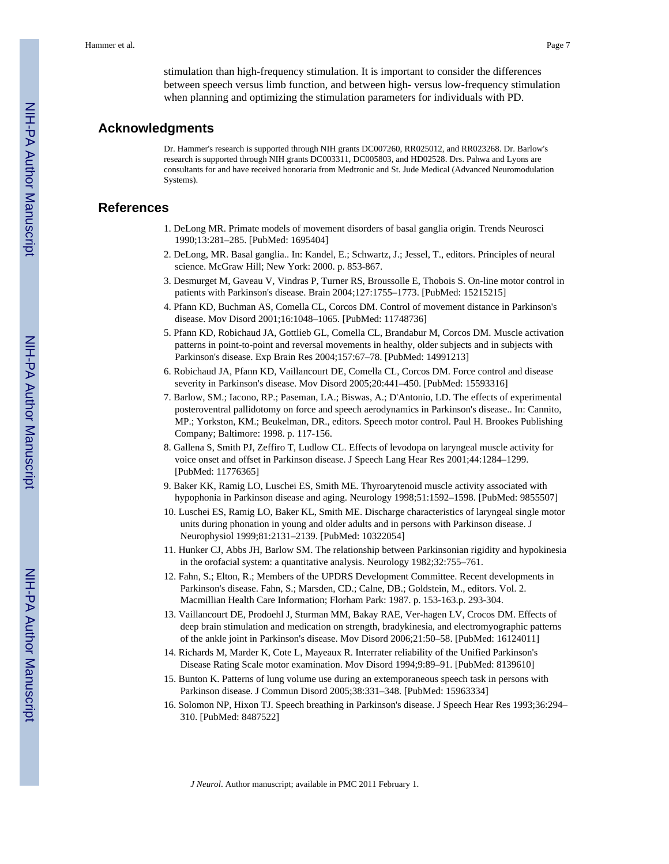stimulation than high-frequency stimulation. It is important to consider the differences between speech versus limb function, and between high- versus low-frequency stimulation when planning and optimizing the stimulation parameters for individuals with PD.

#### **Acknowledgments**

Dr. Hammer's research is supported through NIH grants DC007260, RR025012, and RR023268. Dr. Barlow's research is supported through NIH grants DC003311, DC005803, and HD02528. Drs. Pahwa and Lyons are consultants for and have received honoraria from Medtronic and St. Jude Medical (Advanced Neuromodulation Systems).

#### **References**

- 1. DeLong MR. Primate models of movement disorders of basal ganglia origin. Trends Neurosci 1990;13:281–285. [PubMed: 1695404]
- 2. DeLong, MR. Basal ganglia.. In: Kandel, E.; Schwartz, J.; Jessel, T., editors. Principles of neural science. McGraw Hill; New York: 2000. p. 853-867.
- 3. Desmurget M, Gaveau V, Vindras P, Turner RS, Broussolle E, Thobois S. On-line motor control in patients with Parkinson's disease. Brain 2004;127:1755–1773. [PubMed: 15215215]
- 4. Pfann KD, Buchman AS, Comella CL, Corcos DM. Control of movement distance in Parkinson's disease. Mov Disord 2001;16:1048–1065. [PubMed: 11748736]
- 5. Pfann KD, Robichaud JA, Gottlieb GL, Comella CL, Brandabur M, Corcos DM. Muscle activation patterns in point-to-point and reversal movements in healthy, older subjects and in subjects with Parkinson's disease. Exp Brain Res 2004;157:67–78. [PubMed: 14991213]
- 6. Robichaud JA, Pfann KD, Vaillancourt DE, Comella CL, Corcos DM. Force control and disease severity in Parkinson's disease. Mov Disord 2005;20:441–450. [PubMed: 15593316]
- 7. Barlow, SM.; Iacono, RP.; Paseman, LA.; Biswas, A.; D'Antonio, LD. The effects of experimental posteroventral pallidotomy on force and speech aerodynamics in Parkinson's disease.. In: Cannito, MP.; Yorkston, KM.; Beukelman, DR., editors. Speech motor control. Paul H. Brookes Publishing Company; Baltimore: 1998. p. 117-156.
- 8. Gallena S, Smith PJ, Zeffiro T, Ludlow CL. Effects of levodopa on laryngeal muscle activity for voice onset and offset in Parkinson disease. J Speech Lang Hear Res 2001;44:1284–1299. [PubMed: 11776365]
- 9. Baker KK, Ramig LO, Luschei ES, Smith ME. Thyroarytenoid muscle activity associated with hypophonia in Parkinson disease and aging. Neurology 1998;51:1592–1598. [PubMed: 9855507]
- 10. Luschei ES, Ramig LO, Baker KL, Smith ME. Discharge characteristics of laryngeal single motor units during phonation in young and older adults and in persons with Parkinson disease. J Neurophysiol 1999;81:2131–2139. [PubMed: 10322054]
- 11. Hunker CJ, Abbs JH, Barlow SM. The relationship between Parkinsonian rigidity and hypokinesia in the orofacial system: a quantitative analysis. Neurology 1982;32:755–761.
- 12. Fahn, S.; Elton, R.; Members of the UPDRS Development Committee. Recent developments in Parkinson's disease. Fahn, S.; Marsden, CD.; Calne, DB.; Goldstein, M., editors. Vol. 2. Macmillian Health Care Information; Florham Park: 1987. p. 153-163.p. 293-304.
- 13. Vaillancourt DE, Prodoehl J, Sturman MM, Bakay RAE, Ver-hagen LV, Crocos DM. Effects of deep brain stimulation and medication on strength, bradykinesia, and electromyographic patterns of the ankle joint in Parkinson's disease. Mov Disord 2006;21:50–58. [PubMed: 16124011]
- 14. Richards M, Marder K, Cote L, Mayeaux R. Interrater reliability of the Unified Parkinson's Disease Rating Scale motor examination. Mov Disord 1994;9:89–91. [PubMed: 8139610]
- 15. Bunton K. Patterns of lung volume use during an extemporaneous speech task in persons with Parkinson disease. J Commun Disord 2005;38:331–348. [PubMed: 15963334]
- 16. Solomon NP, Hixon TJ. Speech breathing in Parkinson's disease. J Speech Hear Res 1993;36:294– 310. [PubMed: 8487522]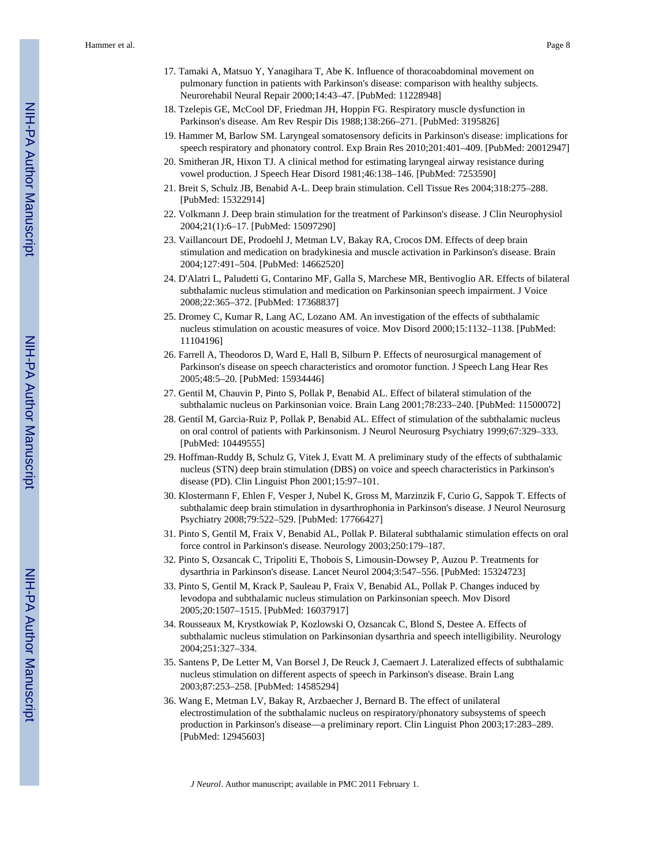Hammer et al. Page 8

- 17. Tamaki A, Matsuo Y, Yanagihara T, Abe K. Influence of thoracoabdominal movement on pulmonary function in patients with Parkinson's disease: comparison with healthy subjects. Neurorehabil Neural Repair 2000;14:43–47. [PubMed: 11228948]
- 18. Tzelepis GE, McCool DF, Friedman JH, Hoppin FG. Respiratory muscle dysfunction in Parkinson's disease. Am Rev Respir Dis 1988;138:266–271. [PubMed: 3195826]
- 19. Hammer M, Barlow SM. Laryngeal somatosensory deficits in Parkinson's disease: implications for speech respiratory and phonatory control. Exp Brain Res 2010;201:401–409. [PubMed: 20012947]
- 20. Smitheran JR, Hixon TJ. A clinical method for estimating laryngeal airway resistance during vowel production. J Speech Hear Disord 1981;46:138–146. [PubMed: 7253590]
- 21. Breit S, Schulz JB, Benabid A-L. Deep brain stimulation. Cell Tissue Res 2004;318:275–288. [PubMed: 15322914]
- 22. Volkmann J. Deep brain stimulation for the treatment of Parkinson's disease. J Clin Neurophysiol 2004;21(1):6–17. [PubMed: 15097290]
- 23. Vaillancourt DE, Prodoehl J, Metman LV, Bakay RA, Crocos DM. Effects of deep brain stimulation and medication on bradykinesia and muscle activation in Parkinson's disease. Brain 2004;127:491–504. [PubMed: 14662520]
- 24. D'Alatri L, Paludetti G, Contarino MF, Galla S, Marchese MR, Bentivoglio AR. Effects of bilateral subthalamic nucleus stimulation and medication on Parkinsonian speech impairment. J Voice 2008;22:365–372. [PubMed: 17368837]
- 25. Dromey C, Kumar R, Lang AC, Lozano AM. An investigation of the effects of subthalamic nucleus stimulation on acoustic measures of voice. Mov Disord 2000;15:1132–1138. [PubMed: 11104196]
- 26. Farrell A, Theodoros D, Ward E, Hall B, Silburn P. Effects of neurosurgical management of Parkinson's disease on speech characteristics and oromotor function. J Speech Lang Hear Res 2005;48:5–20. [PubMed: 15934446]
- 27. Gentil M, Chauvin P, Pinto S, Pollak P, Benabid AL. Effect of bilateral stimulation of the subthalamic nucleus on Parkinsonian voice. Brain Lang 2001;78:233–240. [PubMed: 11500072]
- 28. Gentil M, Garcia-Ruiz P, Pollak P, Benabid AL. Effect of stimulation of the subthalamic nucleus on oral control of patients with Parkinsonism. J Neurol Neurosurg Psychiatry 1999;67:329–333. [PubMed: 10449555]
- 29. Hoffman-Ruddy B, Schulz G, Vitek J, Evatt M. A preliminary study of the effects of subthalamic nucleus (STN) deep brain stimulation (DBS) on voice and speech characteristics in Parkinson's disease (PD). Clin Linguist Phon 2001;15:97–101.
- 30. Klostermann F, Ehlen F, Vesper J, Nubel K, Gross M, Marzinzik F, Curio G, Sappok T. Effects of subthalamic deep brain stimulation in dysarthrophonia in Parkinson's disease. J Neurol Neurosurg Psychiatry 2008;79:522–529. [PubMed: 17766427]
- 31. Pinto S, Gentil M, Fraix V, Benabid AL, Pollak P. Bilateral subthalamic stimulation effects on oral force control in Parkinson's disease. Neurology 2003;250:179–187.
- 32. Pinto S, Ozsancak C, Tripoliti E, Thobois S, Limousin-Dowsey P, Auzou P. Treatments for dysarthria in Parkinson's disease. Lancet Neurol 2004;3:547–556. [PubMed: 15324723]
- 33. Pinto S, Gentil M, Krack P, Sauleau P, Fraix V, Benabid AL, Pollak P. Changes induced by levodopa and subthalamic nucleus stimulation on Parkinsonian speech. Mov Disord 2005;20:1507–1515. [PubMed: 16037917]
- 34. Rousseaux M, Krystkowiak P, Kozlowski O, Ozsancak C, Blond S, Destee A. Effects of subthalamic nucleus stimulation on Parkinsonian dysarthria and speech intelligibility. Neurology 2004;251:327–334.
- 35. Santens P, De Letter M, Van Borsel J, De Reuck J, Caemaert J. Lateralized effects of subthalamic nucleus stimulation on different aspects of speech in Parkinson's disease. Brain Lang 2003;87:253–258. [PubMed: 14585294]
- 36. Wang E, Metman LV, Bakay R, Arzbaecher J, Bernard B. The effect of unilateral electrostimulation of the subthalamic nucleus on respiratory/phonatory subsystems of speech production in Parkinson's disease—a preliminary report. Clin Linguist Phon 2003;17:283–289. [PubMed: 12945603]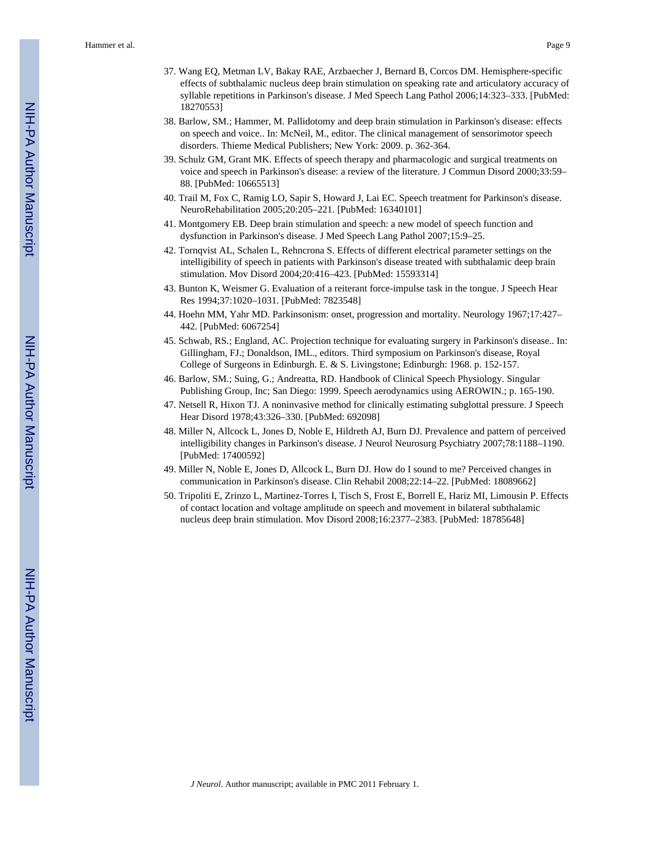- 37. Wang EQ, Metman LV, Bakay RAE, Arzbaecher J, Bernard B, Corcos DM. Hemisphere-specific effects of subthalamic nucleus deep brain stimulation on speaking rate and articulatory accuracy of syllable repetitions in Parkinson's disease. J Med Speech Lang Pathol 2006;14:323–333. [PubMed: 18270553]
- 38. Barlow, SM.; Hammer, M. Pallidotomy and deep brain stimulation in Parkinson's disease: effects on speech and voice.. In: McNeil, M., editor. The clinical management of sensorimotor speech disorders. Thieme Medical Publishers; New York: 2009. p. 362-364.
- 39. Schulz GM, Grant MK. Effects of speech therapy and pharmacologic and surgical treatments on voice and speech in Parkinson's disease: a review of the literature. J Commun Disord 2000;33:59– 88. [PubMed: 10665513]
- 40. Trail M, Fox C, Ramig LO, Sapir S, Howard J, Lai EC. Speech treatment for Parkinson's disease. NeuroRehabilitation 2005;20:205–221. [PubMed: 16340101]
- 41. Montgomery EB. Deep brain stimulation and speech: a new model of speech function and dysfunction in Parkinson's disease. J Med Speech Lang Pathol 2007;15:9–25.
- 42. Tornqvist AL, Schalen L, Rehncrona S. Effects of different electrical parameter settings on the intelligibility of speech in patients with Parkinson's disease treated with subthalamic deep brain stimulation. Mov Disord 2004;20:416–423. [PubMed: 15593314]
- 43. Bunton K, Weismer G. Evaluation of a reiterant force-impulse task in the tongue. J Speech Hear Res 1994;37:1020–1031. [PubMed: 7823548]
- 44. Hoehn MM, Yahr MD. Parkinsonism: onset, progression and mortality. Neurology 1967;17:427– 442. [PubMed: 6067254]
- 45. Schwab, RS.; England, AC. Projection technique for evaluating surgery in Parkinson's disease.. In: Gillingham, FJ.; Donaldson, IML., editors. Third symposium on Parkinson's disease, Royal College of Surgeons in Edinburgh. E. & S. Livingstone; Edinburgh: 1968. p. 152-157.
- 46. Barlow, SM.; Suing, G.; Andreatta, RD. Handbook of Clinical Speech Physiology. Singular Publishing Group, Inc; San Diego: 1999. Speech aerodynamics using AEROWIN.; p. 165-190.
- 47. Netsell R, Hixon TJ. A noninvasive method for clinically estimating subglottal pressure. J Speech Hear Disord 1978;43:326–330. [PubMed: 692098]
- 48. Miller N, Allcock L, Jones D, Noble E, Hildreth AJ, Burn DJ. Prevalence and pattern of perceived intelligibility changes in Parkinson's disease. J Neurol Neurosurg Psychiatry 2007;78:1188–1190. [PubMed: 17400592]
- 49. Miller N, Noble E, Jones D, Allcock L, Burn DJ. How do I sound to me? Perceived changes in communication in Parkinson's disease. Clin Rehabil 2008;22:14–22. [PubMed: 18089662]
- 50. Tripoliti E, Zrinzo L, Martinez-Torres I, Tisch S, Frost E, Borrell E, Hariz MI, Limousin P. Effects of contact location and voltage amplitude on speech and movement in bilateral subthalamic nucleus deep brain stimulation. Mov Disord 2008;16:2377–2383. [PubMed: 18785648]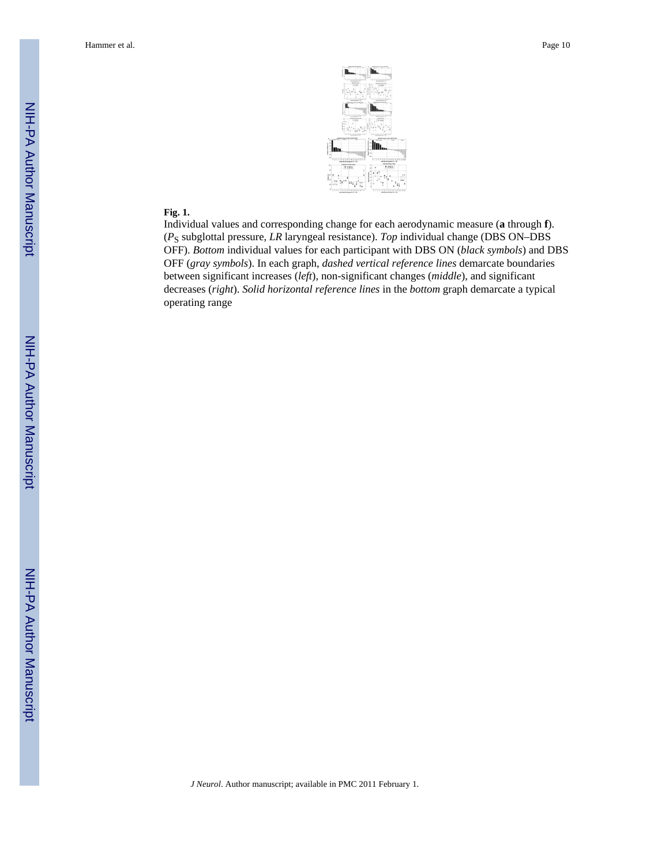

#### **Fig. 1.**

Individual values and corresponding change for each aerodynamic measure (**a** through **f**). (*P*S subglottal pressure, *LR* laryngeal resistance). *Top* individual change (DBS ON–DBS OFF). *Bottom* individual values for each participant with DBS ON (*black symbols*) and DBS OFF (*gray symbols*). In each graph, *dashed vertical reference lines* demarcate boundaries between significant increases (*left*), non-significant changes (*middle*), and significant decreases (*right*). *Solid horizontal reference lines* in the *bottom* graph demarcate a typical operating range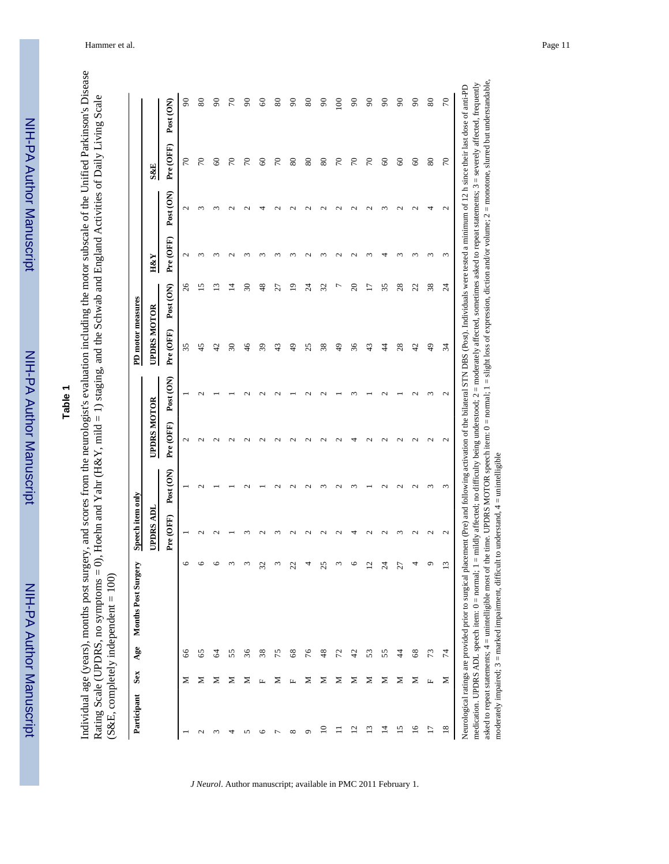Individual age (years), months post surgery, and scores from the neurologist's evaluation including the motor subscale of the Unified Parkinson's Disease Individual age (years), months post surgery, and scores from the neurologist's evaluation including the motor subscale of the Unified Parkinson's Disease Rating Scale (UPDRS, no symptoms = 0), Hoehn and Yahr (H&Y, mild = 1) staging, and the Schwab and England Activities of Daily Living Scale Rating Scale (UPDRS, no symptoms = 0), Hoehn and Yahr (H&Y, mild = 1) staging, and the Schwab and England Activities of Daily Living Scale  $(S&E,$  completely independent = 100) (S&E, completely independent = 100)

| Participant     | <b>Sex</b>   | Age  | <b>Months Post Surgery</b>                                                                                                                                                                                                                                                                                                | Speech item only |           |                    |          | PD motor measures  |                 |           |                    |                |                                                                                                                                                                                                                                                                                                       |
|-----------------|--------------|------|---------------------------------------------------------------------------------------------------------------------------------------------------------------------------------------------------------------------------------------------------------------------------------------------------------------------------|------------------|-----------|--------------------|----------|--------------------|-----------------|-----------|--------------------|----------------|-------------------------------------------------------------------------------------------------------------------------------------------------------------------------------------------------------------------------------------------------------------------------------------------------------|
|                 |              |      |                                                                                                                                                                                                                                                                                                                           | <b>UPDRS ADL</b> |           | <b>UPDRS MOTOR</b> |          | <b>UPDRS MOTOR</b> |                 | H&Y       |                    | <b>S&amp;E</b> |                                                                                                                                                                                                                                                                                                       |
|                 |              |      |                                                                                                                                                                                                                                                                                                                           | Pre (OFF)        | Post (ON) | Pre (OFF)          | Post(ON) | Pre (OFF)          | Post (ON)       | Pre (OFF) | Post (ON)          | Pre (OFF)      | Post (ON)                                                                                                                                                                                                                                                                                             |
|                 | ⋝            | 66   | ١r                                                                                                                                                                                                                                                                                                                        |                  |           | 2                  |          | 35                 | 26              | 2         | $\sim$             | $\approx$      | $\infty$                                                                                                                                                                                                                                                                                              |
| $\sim$          | Σ            | 65   |                                                                                                                                                                                                                                                                                                                           |                  |           |                    |          | 45                 | 15              |           |                    | $\sqrt{2}$     | 80                                                                                                                                                                                                                                                                                                    |
|                 | ≅            | 2    |                                                                                                                                                                                                                                                                                                                           |                  |           |                    |          | 4                  | ≌               |           |                    | 3              | $\infty$                                                                                                                                                                                                                                                                                              |
|                 | Σ            | 55   |                                                                                                                                                                                                                                                                                                                           |                  |           |                    |          | నె                 | ₫               |           |                    | 50             | 50                                                                                                                                                                                                                                                                                                    |
|                 | ≅            | 36   |                                                                                                                                                                                                                                                                                                                           |                  |           |                    |          | $\frac{4}{6}$      | 30              |           |                    | 50             | 8                                                                                                                                                                                                                                                                                                     |
| ७               | р,           | 38   | W                                                                                                                                                                                                                                                                                                                         |                  |           |                    |          | 39                 | 48              |           |                    | 3              | 3                                                                                                                                                                                                                                                                                                     |
|                 | ⋝            | 75   |                                                                                                                                                                                                                                                                                                                           |                  |           |                    |          | 43                 | 27              |           |                    | 50             | $80\,$                                                                                                                                                                                                                                                                                                |
| $\infty$        | р,           | 68   |                                                                                                                                                                                                                                                                                                                           |                  |           |                    |          | 49                 | 2               |           |                    | 80             | 90                                                                                                                                                                                                                                                                                                    |
| ٩               | ⋝            | 76   |                                                                                                                                                                                                                                                                                                                           |                  |           |                    |          | 25                 | 24              |           |                    | $80\,$         | $80\,$                                                                                                                                                                                                                                                                                                |
| $\Xi$           | ≅            | 48   |                                                                                                                                                                                                                                                                                                                           |                  |           |                    |          | 38                 | $\mathfrak{L}$  |           |                    | 80             | ର                                                                                                                                                                                                                                                                                                     |
| Ξ               | ≅            | 72   |                                                                                                                                                                                                                                                                                                                           |                  |           |                    |          | $\frac{9}{4}$      |                 |           |                    | 50             | 100                                                                                                                                                                                                                                                                                                   |
| $\overline{c}$  | Σ            | 42   |                                                                                                                                                                                                                                                                                                                           |                  |           |                    |          | 36                 | $\Omega$        |           |                    | $\mathcal{L}$  | $\infty$                                                                                                                                                                                                                                                                                              |
| $\Xi$           | ≅            | 53   |                                                                                                                                                                                                                                                                                                                           |                  |           |                    |          | 43                 | 17              |           |                    | $\mathcal{L}$  | $\infty$                                                                                                                                                                                                                                                                                              |
| 4               | ≅            | 55   |                                                                                                                                                                                                                                                                                                                           |                  |           |                    |          | 4                  | 35              |           |                    | $\infty$       | ଛ                                                                                                                                                                                                                                                                                                     |
| 51              | ≅            | 4    |                                                                                                                                                                                                                                                                                                                           |                  |           |                    |          | 28                 | $^{28}$         |           |                    | $\mathcal{S}$  | ន                                                                                                                                                                                                                                                                                                     |
| $\overline{16}$ | ≅            | $68$ |                                                                                                                                                                                                                                                                                                                           |                  |           |                    |          | 42                 | 22              |           |                    | $\mathcal{S}$  | ର                                                                                                                                                                                                                                                                                                     |
| $\overline{17}$ | $\mathbf{L}$ | 73   |                                                                                                                                                                                                                                                                                                                           |                  |           |                    |          | $\frac{9}{4}$      | 38              |           |                    | 80             | 80                                                                                                                                                                                                                                                                                                    |
| $^{18}$         | ≅            | 74   |                                                                                                                                                                                                                                                                                                                           | $\mathbf{c}$     | $\sim$    |                    |          | 34                 | $\overline{24}$ | 3         | $\scriptstyle\sim$ | $\mathcal{L}$  | $\mathcal{L}$                                                                                                                                                                                                                                                                                         |
|                 |              |      | Neurological ratings are provided prior to surgical placement (Pre) and following activation of the bilateral STN DBS (Post). Individuals were tested a minimum of 12 h since their last dose of anti-PD<br>asked to repeat statements; $4 =$ unintelligible most of<br>medication. UPDRS ADL speech item: $0 = normal$ ; |                  |           |                    |          |                    |                 |           |                    |                | the time. UPDRS MOTOR speech item: 0 = normal; 1 = slight loss of expression, diction and/or volume; 2 = monotone, slurred but understandable.<br>= mildly affected; no difficulty being understood; 2 = moderately affected, sometimes asked to repeat statements; 3 = severely affected, frequently |
|                 |              |      | moderately impaired; $3 =$ marked impairment, difficult to understand, $4 =$ unintelligible                                                                                                                                                                                                                               |                  |           |                    |          |                    |                 |           |                    |                |                                                                                                                                                                                                                                                                                                       |

*J Neurol*. Author manuscript; available in PMC 2011 February 1.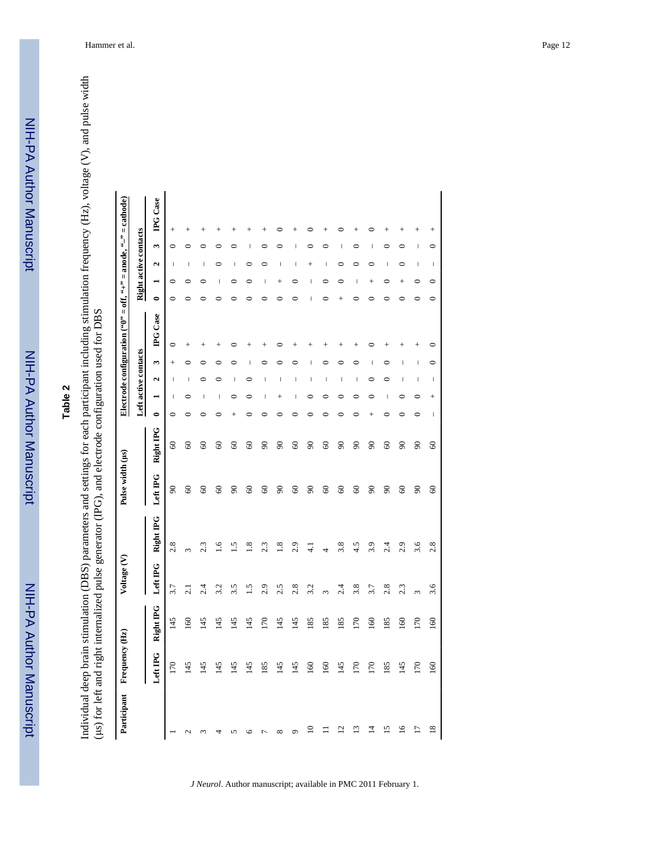Individual deep brain stimulation (DBS) parameters and settings for each participant including stimulation frequency (Hz), voltage (V), and pulse width (µs) for left and right internalized pulse generator (IPG), and electr Individual deep brain stimulation (DBS) parameters and settings for each participant including stimulation frequency (Hz), voltage (V), and pulse width (μs) for left and right internalized pulse generator (IPG), and electrode configuration used for DBS

| Participant    | Frequency (Hz) |           | Voltage (V) |               | Pulse width (µs)  |                  |           |                |                      |        | Electrode configuration (" $0$ " = off, "+" = anode, "-" = cathode) |           |                          |                                       |         |          |
|----------------|----------------|-----------|-------------|---------------|-------------------|------------------|-----------|----------------|----------------------|--------|---------------------------------------------------------------------|-----------|--------------------------|---------------------------------------|---------|----------|
|                |                |           |             |               |                   |                  |           |                | Left active contacts |        |                                                                     |           |                          | Right active contacts                 |         |          |
|                | Left IPG       | Right IPG | Left IPG    | Right IPG     | Left IPG          | <b>Right IPG</b> | $\bullet$ | $\blacksquare$ | $\mathbf{\hat{z}}$   | S      | IPG Case                                                            | $\bullet$ | $\overline{\phantom{0}}$ | 2                                     | 3       | IPG Case |
|                | 170            | 145       | 3.7         | 2.8           | $\infty$          | $\infty$         | ∊         | I              | I                    | $^{+}$ | $\circ$                                                             | $\circ$   | 0                        | $\begin{array}{c} \end{array}$        | $\circ$ | $^{+}$   |
|                | 145            | 160       | $\alpha$    | 3             | $\degree$         | $\infty$         |           |                | $\overline{1}$       | ⊂      |                                                                     |           | ∊                        | I                                     |         | $^{+}$   |
|                | 145            | 145       | 2.4         | 2.3           | $\degree$         | 3                |           |                | ≏                    |        |                                                                     |           |                          |                                       |         | $^{+}$   |
|                | 145            | 145       | 3.2         | $\frac{6}{1}$ | $\mathcal{S}$     | $\mathcal{S}$    |           |                | ⊂                    |        |                                                                     |           |                          |                                       |         |          |
|                | 145            | 145       | 3.5         | ڹ             | $\infty$          | 3                |           | ⊂              | I                    |        |                                                                     |           |                          | I                                     |         |          |
|                | 145            | 145       | 1.5         | 1.8           | $\mathcal{S}$     | 8                |           |                | ⊂                    |        |                                                                     |           |                          |                                       |         |          |
|                | 185            | 170       | 2.9         | 2.3           | $\mathcal{S}$     | $\infty$         |           |                | I                    |        |                                                                     |           |                          |                                       |         |          |
|                | 145            | 145       | 2.5         | 1.8           | $\boldsymbol{90}$ | $\infty$         |           |                | I                    |        |                                                                     |           |                          |                                       |         |          |
|                | 145            | 145       | 2.8         | 2.9           | $\mathcal{S}$     | $\mathcal{S}$    |           |                | I                    |        |                                                                     |           |                          | I                                     |         |          |
|                | 160            | 185       | 3.2         | $\frac{1}{4}$ | $\sqrt{6}$        | $\infty$         |           |                | I                    |        |                                                                     |           |                          |                                       |         |          |
|                | 160            | 185       | $\sim$      | 4             | $\infty$          | $\infty$         |           |                | I                    |        |                                                                     |           |                          |                                       |         |          |
| S              | 145            | 185       | 2.4         | 3.8           | $\degree$         | $\infty$         |           |                | I                    |        |                                                                     |           |                          | ⊂                                     |         |          |
|                | 170            | 170       | 3.8         | 4.5           | $\degree$         | $\infty$         |           |                | I                    |        |                                                                     |           |                          |                                       |         |          |
| 4              | 170            | 160       | 3.7         | 3.9           | $\boldsymbol{90}$ | $\infty$         |           |                | ⊂                    |        |                                                                     |           |                          |                                       |         |          |
| n              | 185            | 185       | 2.8         | 2.4           | $\infty$          | $\mathcal{S}$    |           |                | ⊂                    |        |                                                                     |           |                          |                                       |         |          |
| $\overline{6}$ | 145            | 160       | 2.3         | 2.9           | $\degree$         | $\infty$         |           |                | I                    |        |                                                                     |           |                          | ∊                                     |         |          |
|                | 170            | 170       | $\tilde{ }$ | 3.6           | $\infty$          | $\infty$         |           |                | I                    |        |                                                                     |           |                          | I                                     |         |          |
| $\frac{8}{18}$ | 160            | 160       | 3.6         | 2.8           | $\infty$          | $\infty$         | I         |                | I                    |        |                                                                     |           |                          | $\begin{array}{c} \hline \end{array}$ |         |          |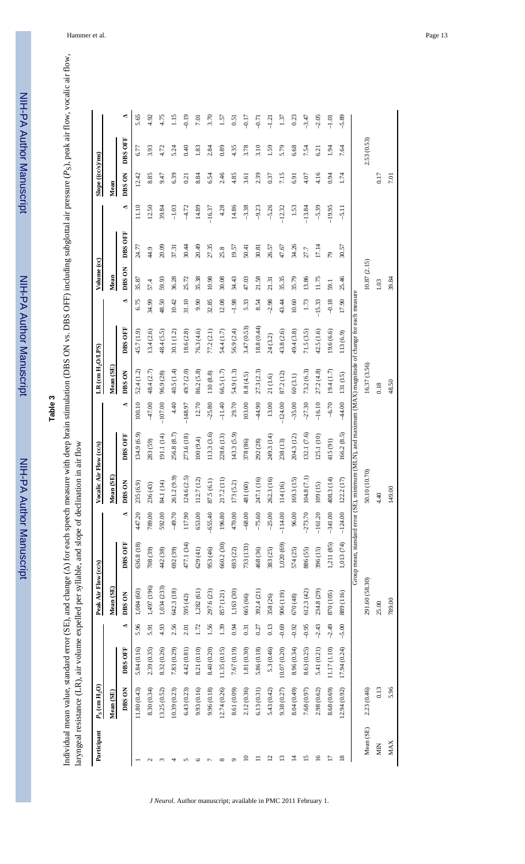Individual mean value, standard error (SE), and change ( $\Delta$ ) for each speech measure with deep brain stimulation (DBS ON vs. DBS OFF) including subglottal air pressure (P<sub>S</sub>), peak air flow, vocalic air flow, *P*<sub>S</sub>), peak air flow, vocalic air flow, Δ) for each speech measure with deep brain stimulation (DBS ON vs. DBS OFF) including subglottal air pressure ( laryngeal resistance (LR), air volume expelled per syllable, and slope of declination in air flow laryngeal resistance (LR), air volume expelled per syllable, and slope of declination in air flow Individual mean value, standard error (SE), and change (

| Participant     | $P_{\rm S}$ (cm ${\rm H_2O})$ |                |         | Peak Air Flow (cc/s) |                                     |           | Vocalic Air Flow (cc/s)            |                                                                     |           | $LR$ (cm $H_2O/LPS$ ) |                |          | Volume (cc) |         |          | Slope ((cc/s)/ms) |                |         |
|-----------------|-------------------------------|----------------|---------|----------------------|-------------------------------------|-----------|------------------------------------|---------------------------------------------------------------------|-----------|-----------------------|----------------|----------|-------------|---------|----------|-------------------|----------------|---------|
|                 | Mean (SE)                     |                |         | Mean(SE)             |                                     |           | Mean (SE)                          |                                                                     |           | Mean (SE)             |                |          | Mean        |         |          | Mean              |                |         |
|                 | DBS ON                        | <b>DBS OFF</b> | ≺       | DBS ON               | <b>DBS OFF</b>                      | ◀         | $\overline{6}$<br>DBS <sup>1</sup> | DBS OFF                                                             | ≺         | DBS ON                | <b>DBS OFF</b> | ≺        | DBS ON      | DBS OFF | ◀        | DBS ON            | <b>DBS OFF</b> | ≺       |
|                 | 11.80 (0.43)                  | 5.84 (0.16)    | 5.96    | 1,084 (60)           | 636.8 (18)                          | 447.20    | (6.9)<br>235(                      | 134.9(6.9)                                                          | 100.10    | 52.4 (1.2)            | 45.7 (1.9)     | 6.75     | 35.87       | 24.77   | 11.10    | 12.42             | 6.77           | 5.65    |
|                 | 8.30 (0.34)                   | 2.39 (0.35)    | 5.91    | 1,497 (196)          | 708 (39)                            | 789.00    | (43)<br>236(                       | 283 (59)                                                            | $-47.00$  | 48.4 (2.7)            | 13.4(2.6)      | 34.99    | 57.4        | 44.9    | 12.50    | 8.85              | 3.93           | 4.92    |
|                 | 13.25 (0.52)                  | 8.32 (0.26)    | 4.93    | 1,034 (233)          | 442 (38)                            | 592.00    | (14)<br>84.1                       | 191.1 (14)                                                          | $-107.00$ | 96.9 (28)             | 48.4 (5.5)     | 48.50    | 59.93       | 20.09   | 39.84    | 9.47              | 4.72           | 4.75    |
|                 | 10.39 (0.23)                  | 7.83 (0.29)    | 2.56    | 642.3 (18)           | 692 (39)                            | $-49.70$  | (9.9)<br>261.2                     | 256.8 (8.7)                                                         | 4.40      | 40.5(1.4)             | 30.1 (1.2)     | 10.42    | 36.28       | 37.31   | $-1.03$  | 6.39              | 5.24           | 1.15    |
|                 | 6.43(0.23)                    | 4.42 (0.81)    | 2.01    | 595 (42)             | 477.1 (34)                          | 117.90    | (2.5)<br>124.6                     | 273.6 (18)                                                          | $-148.97$ | 49.7 (2.0)            | 18.6(2.8)      | 31.10    | 25.72       | 30.44   | $-4.72$  | 0.21              | 0.40           | $-0.19$ |
| ء               | 9.93 (0.16)                   | 8.21 (0.10)    | 1.72    | 1,282(61)            | 629(41)                             | 653.00    | $(12)$<br>112.7                    | 100(9.4)                                                            | 12.70     | 86.2 (5.8)            | 76.3 (4.6)     | 9.90     | 35.38       | 20.49   | 14.89    | 8.84              | 1.83           | 7.01    |
|                 | 9.96 (0.18)                   | 8.40(0.20)     | 1.56    | 297.6 (23)           | 953 (46)                            | $-655.40$ | (6.1)<br>87.5                      | 113.3 (3.6)                                                         | $-25.80$  | 110(8.8)              | 77.2(2.1)      | 32.85    | 10.98       | 27.35   | $-16.37$ | 6.54              | 2.84           | 3.70    |
| $\infty$        | 12.74 (0.26)                  | 11.35 (0.15)   | 1.39    | 857 (121)            | 660.2 (30)                          | 196.80    | $\frac{1}{2}$<br>217.2             | 228.6 (13)                                                          | $-11.40$  | 66.5 (1.7)            | 54.4 (1.7)     | 12.08    | 30.08       | 25.8    | 4.28     | 2.46              | 0.89           | 1.57    |
| ō               | 8.61 (0.09)                   | 7.67 (0.19)    | 0.94    | 1,163 (30)           | 693 (22)                            | 470.00    | (5.2)<br>173(                      | 143.3 (5.9)                                                         | 29.70     | 54.9 (1.3)            | 56.9 (2.4)     | $-1.98$  | 34.43       | 19.57   | 14.86    | 4.85              | 4.35           | 0.51    |
| $\overline{a}$  | 2.12 (0.36)                   | 1.81(0.30)     | 0.31    | 665 (66)             | 733 (133)                           | $-68.00$  | $\overline{60}$<br>481 (           | 378 (86)                                                            | 103.00    | 8.8(4.5)              | 3.47 (0.53)    | 5.33     | 47.03       | 50.41   | $-3.38$  | 3.61              | 3.78           | $-0.17$ |
| Ξ               | 6.13(0.31)                    | 5.86(0.18)     | 0.27    | 392.4 (21)           | 468 (36)                            | $-75.60$  | (16)<br>247.1                      | 292 (28)                                                            | 44.90     | 27.3 (2.3)            | 18.8(0.44)     | 8.54     | 21.58       | 30.81   | $-9.23$  | 2.39              | 3.10           | $-0.71$ |
| $\overline{c}$  | 5.43 (0.42)                   | 5.3 (0.46)     | 0.13    | 358 (26)             | 383 (25)                            | $-25.00$  | (16)<br>262.3                      | 249.3 (14)                                                          | 13.00     | 21(1.6)               | 24(3.2)        | $-2.98$  | 21.31       | 26.57   | $-5.26$  | 0.37              | 1.59           | $-1.21$ |
| 13              | 9.38 (0.27)                   | 10.07 (0.20)   | $-0.69$ | 906 (119)            | 1,020 (69)                          | $-114.00$ | $\frac{16}{1}$<br>114              | 238 (13)                                                            | $-124.00$ | 87.2 (12)             | 43.8 (2.6)     | 43.44    | 35.35       | 47.67   | $-12.32$ | 7.15              | 5.79           | 1.37    |
| $\overline{4}$  | 8.04 (0.49)                   | 8.96 (0.34)    | $-0.92$ | 670 (48)             | 574 (25)                            | 96.00     | (15)<br>169.3                      | 204.3 (12)                                                          | $-35.00$  | $60(3.1)$             | 49.4 (3.8)     | 10.60    | 35.79       | 34.26   | 1.53     | 6.91              | 6.68           | 0.23    |
| $\overline{15}$ | 7.68 (0.97)                   | 8.63(0.25)     | $-0.95$ | 612.3(42)            | 886 (55)                            | $-273.70$ | $(7.1)$<br>104.8                   | 132.1 (7.6)                                                         | $-27.30$  | 73.2(6.3)             | 71.5(3.5)      | 1.73     | 13.86       | 27.7    | $-13.84$ | 4.07              | 7.54           | $-3.47$ |
| $\tilde{=}$     | 2.98(0.62)                    | 5.41 (0.21)    | $-2.43$ | 234.8 (29)           | 396 (15)                            | $-161.20$ | 15)<br>109 C                       | 125.1 (10)                                                          | $-16.10$  | 27.2(4.8)             | 42.5 (1.6)     | $-15.33$ | 11.75       | 17.14   | $-5.39$  | 4.16              | 6.21           | $-2.05$ |
| $\overline{17}$ | 8.68 (0.69)                   | 11.17 (1.10)   | $-2.49$ | 870 (105)            | 1,211(85)                           | $-341.00$ | (14)<br>408.3                      | 415 (91)                                                            | $-6.70$   | 19.4(1.7)             | 19.6 (6.6)     | $-0.18$  | 59.1        | 29      | $-19.95$ | 0.94              | 1.94           | $-1.01$ |
| $\overline{18}$ | 12.94 (0.92)                  | 17.94 (0.24)   | $-5.00$ | 889 (116)            | 1,013 (74)                          | $-124.00$ | (17)<br>122.2                      | 166.2 (8.5)                                                         | $-44.00$  | 131 (15)              | 113 (6.9)      | 17.90    | 25.46       | 30.57   | $-5.11$  | 1.74              | 7.64           | $-5.89$ |
|                 |                               |                |         |                      | Group mean, standard error (SE), mi |           |                                    | nimum (MLN), and maximum (MAX) magnitude of change for each measure |           |                       |                |          |             |         |          |                   |                |         |
| Mean (SE)       | 2.23 (0.46)                   |                |         | 291.60 (58.30)       |                                     |           | (10.70)<br>50.10                   |                                                                     |           | 16.37 (3.56)          |                |          | 10.87(2.15) |         |          |                   | 2.53 (0.53)    |         |
| МIИ             | 0.13                          |                |         | 25.00                |                                     |           | 4.40                               |                                                                     |           | 0.18                  |                |          | 1.03        |         |          | 0.17              |                |         |
| <b>MAX</b>      | 5.96                          |                |         | 789.00               |                                     |           | 149.00                             |                                                                     |           | 48.50                 |                |          | 39.84       |         |          | 7.01              |                |         |